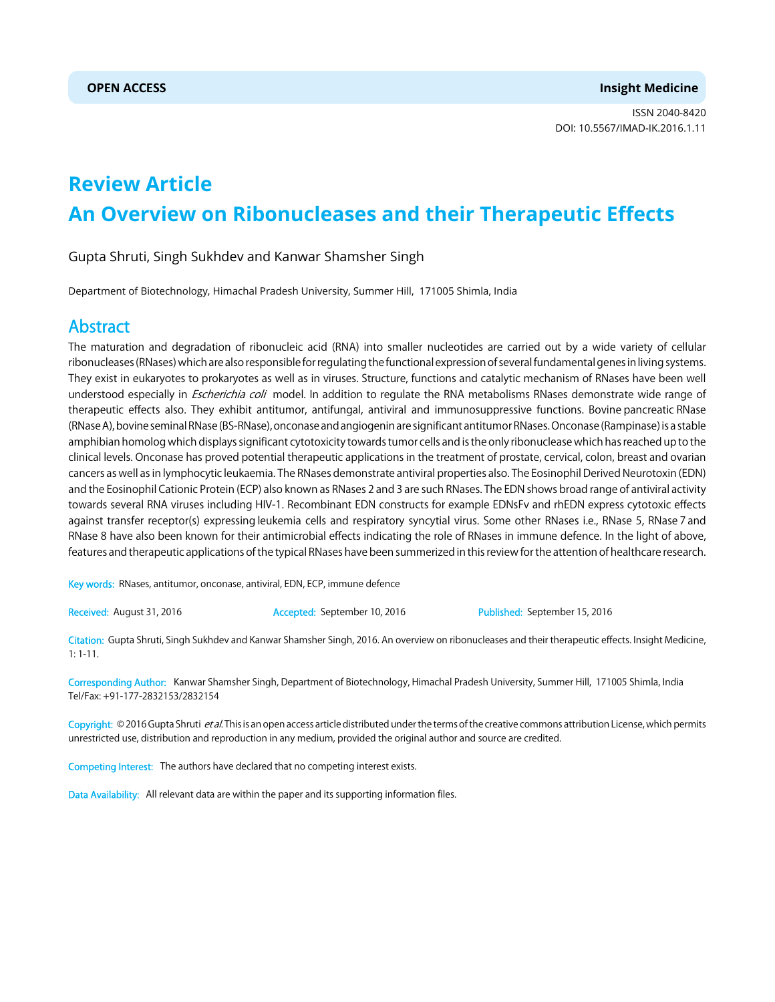ISSN 2040-8420 DOI: 10.5567/IMAD-IK.2016.1.11

# **Review Article An Overview on Ribonucleases and their Therapeutic Effects**

### Gupta Shruti, Singh Sukhdev and Kanwar Shamsher Singh

Department of Biotechnology, Himachal Pradesh University, Summer Hill, 171005 Shimla, India

## Abstract

The maturation and degradation of ribonucleic acid (RNA) into smaller nucleotides are carried out by a wide variety of cellular ribonucleases (RNases) which are also responsible for regulating the functional expression of several fundamental genes in living systems. They exist in eukaryotes to prokaryotes as well as in viruses. Structure, functions and catalytic mechanism of RNases have been well understood especially in *Escherichia coli* model. In addition to regulate the RNA metabolisms RNases demonstrate wide range of therapeutic effects also. They exhibit antitumor, antifungal, antiviral and immunosuppressive functions. Bovine pancreatic RNase (RNase A), bovine seminal RNase (BS-RNase), onconase and angiogenin are significant antitumor RNases. Onconase (Rampinase) is a stable amphibian homolog which displays significant cytotoxicity towards tumor cells and is the only ribonuclease which has reached up to the clinical levels. Onconase has proved potential therapeutic applications in the treatment of prostate, cervical, colon, breast and ovarian cancers as well as in lymphocytic leukaemia. The RNases demonstrate antiviral properties also. The Eosinophil Derived Neurotoxin (EDN) and the Eosinophil Cationic Protein (ECP) also known as RNases 2 and 3 are such RNases. The EDN shows broad range of antiviral activity towards several RNA viruses including HIV-1. Recombinant EDN constructs for example EDNsFv and rhEDN express cytotoxic effects against transfer receptor(s) expressing leukemia cells and respiratory syncytial virus. Some other RNases i.e., RNase 5, RNase 7 and RNase 8 have also been known for their antimicrobial effects indicating the role of RNases in immune defence. In the light of above, features and therapeutic applications of the typical RNases have been summerized in this review for the attention of healthcare research.

Key words: RNases, antitumor, onconase, antiviral, EDN, ECP, immune defence

Received: August 31, 2016 **Accepted: September 10, 2016** Published: September 15, 2016

Citation: Gupta Shruti, Singh Sukhdev and Kanwar Shamsher Singh, 2016. An overview on ribonucleases and their therapeutic effects. Insight Medicine, 1: 1-11.

Corresponding Author: Kanwar Shamsher Singh, Department of Biotechnology, Himachal Pradesh University, Summer Hill, 171005 Shimla, India Tel/Fax: +91-177-2832153/2832154

Copyright: © 2016 Gupta Shruti et al. This is an open access article distributed under the terms of the creative commons attribution License, which permits unrestricted use, distribution and reproduction in any medium, provided the original author and source are credited.

Competing Interest: The authors have declared that no competing interest exists.

Data Availability: All relevant data are within the paper and its supporting information files.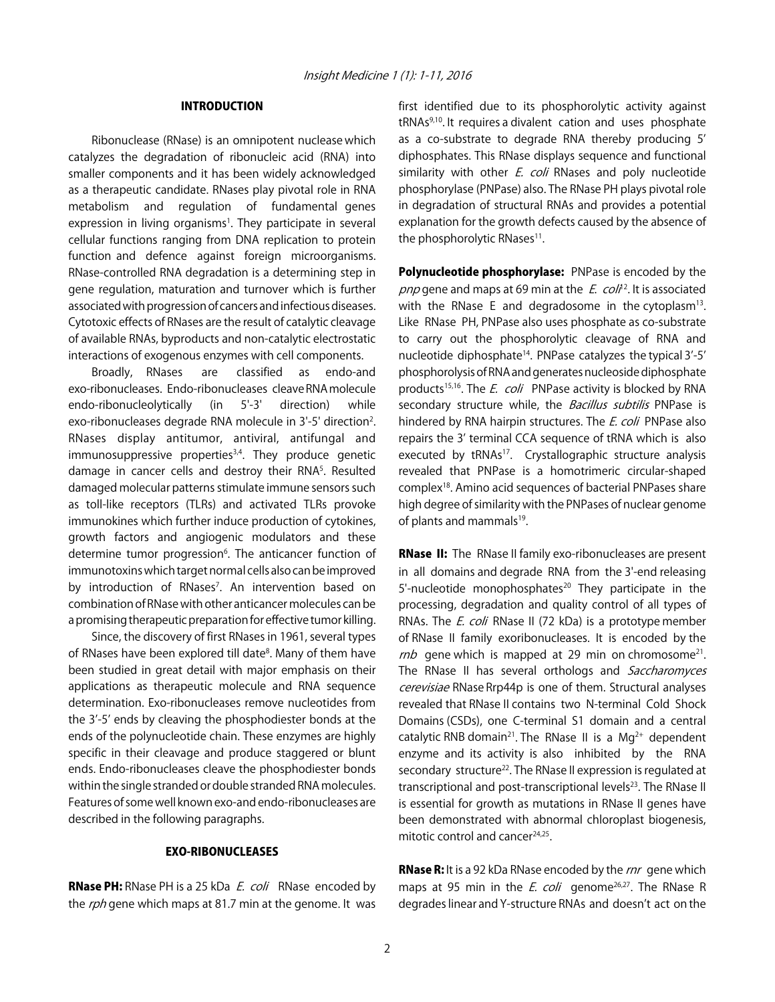#### INTRODUCTION

Ribonuclease (RNase) is an omnipotent nuclease which catalyzes the degradation of ribonucleic acid (RNA) into smaller components and it has been widely acknowledged as a therapeutic candidate. RNases play pivotal role in RNA metabolism and regulation of fundamental genes expression in living organisms<sup>1</sup>. They participate in several cellular functions ranging from DNA replication to protein function and defence against foreign microorganisms. RNase-controlled RNA degradation is a determining step in gene regulation, maturation and turnover which is further associated with progression of cancers and infectious diseases. Cytotoxic effects of RNases are the result of catalytic cleavage of available RNAs, byproducts and non-catalytic electrostatic interactions of exogenous enzymes with cell components.

Broadly, RNases are classified as endo-and exo-ribonucleases. Endo-ribonucleases cleave RNA molecule endo-ribonucleolytically (in 5'-3' direction) while exo-ribonucleases degrade RNA molecule in 3'-5' direction<sup>2</sup>. RNases display antitumor, antiviral, antifungal and immunosuppressive properties<sup>3,4</sup>. They produce genetic damage in cancer cells and destroy their RNA<sup>5</sup>. Resulted damaged molecular patterns stimulate immune sensors such as toll-like receptors (TLRs) and activated TLRs provoke immunokines which further induce production of cytokines, growth factors and angiogenic modulators and these determine tumor progression<sup>6</sup>. The anticancer function of immunotoxins which target normal cells also can be improved by introduction of RNases<sup>7</sup>. An intervention based on combination of RNase with other anticancer molecules can be a promising therapeutic preparation for effective tumor killing.

Since, the discovery of first RNases in 1961, several types of RNases have been explored till date<sup>8</sup>. Many of them have been studied in great detail with major emphasis on their applications as therapeutic molecule and RNA sequence determination. Exo-ribonucleases remove nucleotides from the 3'-5' ends by cleaving the phosphodiester bonds at the ends of the polynucleotide chain. These enzymes are highly specific in their cleavage and produce staggered or blunt ends. Endo-ribonucleases cleave the phosphodiester bonds within the single stranded or double stranded RNA molecules. Features of some well known exo-and endo-ribonucleases are described in the following paragraphs.

#### EXO-RIBONUCLEASES

RNase PH: RNase PH is a 25 kDa E. coli RNase encoded by the rph gene which maps at 81.7 min at the genome. It was first identified due to its phosphorolytic activity against tRNAs9,10. It requires a divalent cation and uses phosphate as a co-substrate to degrade RNA thereby producing 5' diphosphates. This RNase displays sequence and functional similarity with other  $E$ . coli RNases and poly nucleotide phosphorylase (PNPase) also. The RNase PH plays pivotal role in degradation of structural RNAs and provides a potential explanation for the growth defects caused by the absence of the phosphorolytic RNases<sup>11</sup>.

Polynucleotide phosphorylase: PNPase is encoded by the pnp gene and maps at 69 min at the  $E$ . col<sup>12</sup>. It is associated with the RNase E and degradosome in the cytoplasm<sup>13</sup>. Like RNase PH, PNPase also uses phosphate as co-substrate to carry out the phosphorolytic cleavage of RNA and nucleotide diphosphate<sup>14</sup>. PNPase catalyzes the typical 3'-5' phosphorolysis of RNA and generates nucleoside diphosphate products<sup>15,16</sup>. The *E. coli* PNPase activity is blocked by RNA secondary structure while, the *Bacillus subtilis* PNPase is hindered by RNA hairpin structures. The *E. coli* PNPase also repairs the 3' terminal CCA sequence of tRNA which is also executed by tRNAs<sup>17</sup>. Crystallographic structure analysis revealed that PNPase is a homotrimeric circular-shaped complex18. Amino acid sequences of bacterial PNPases share high degree of similarity with the PNPases of nuclear genome of plants and mammals<sup>19</sup>.

**RNase II:** The RNase II family exo-ribonucleases are present in all domains and degrade RNA from the 3'-end releasing 5'-nucleotide monophosphates<sup>20</sup> They participate in the processing, degradation and quality control of all types of RNAs. The *E. coli* RNase II (72 kDa) is a prototype member of RNase II family exoribonucleases. It is encoded by the  $mb$  gene which is mapped at 29 min on chromosome<sup>21</sup>. The RNase II has several orthologs and Saccharomyces cerevisiae RNase Rrp44p is one of them. Structural analyses revealed that RNase II contains two N-terminal Cold Shock Domains (CSDs), one C-terminal S1 domain and a central catalytic RNB domain<sup>21</sup>. The RNase II is a Mg<sup>2+</sup> dependent enzyme and its activity is also inhibited by the RNA secondary structure<sup>22</sup>. The RNase II expression is regulated at transcriptional and post-transcriptional levels<sup>23</sup>. The RNase II is essential for growth as mutations in RNase II genes have been demonstrated with abnormal chloroplast biogenesis, mitotic control and cancer<sup>24,25</sup>.

RNase R: It is a 92 kDa RNase encoded by the rnr gene which maps at 95 min in the *E. coli* genome<sup>26,27</sup>. The RNase R degrades linear and Y-structure RNAs and doesn't act on the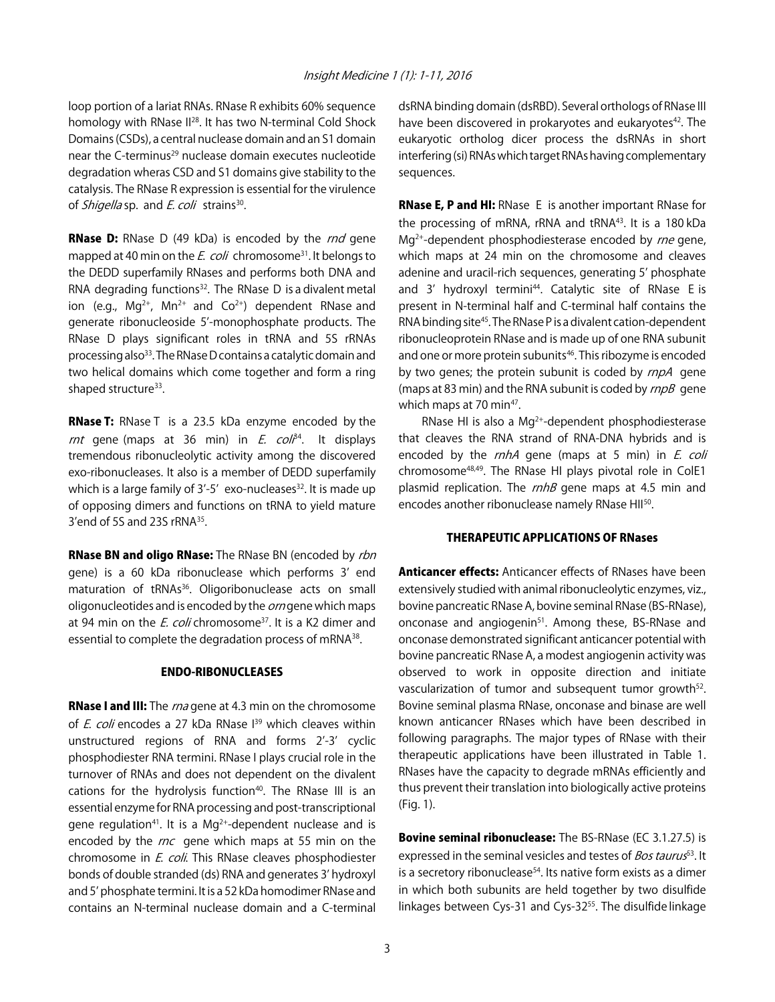loop portion of a lariat RNAs. RNase R exhibits 60% sequence homology with RNase II<sup>28</sup>. It has two N-terminal Cold Shock Domains (CSDs), a central nuclease domain and an S1 domain near the C-terminus<sup>29</sup> nuclease domain executes nucleotide degradation wheras CSD and S1 domains give stability to the catalysis. The RNase R expression is essential for the virulence of *Shigella* sp. and *E. coli* strains<sup>30</sup>.

**RNase D:** RNase D (49 kDa) is encoded by the *rnd* gene mapped at 40 min on the E. coli chromosome<sup>31</sup>. It belongs to the DEDD superfamily RNases and performs both DNA and RNA degrading functions<sup>32</sup>. The RNase D is a divalent metal ion (e.g.,  $Mq^{2+}$ ,  $Mn^{2+}$  and  $Co^{2+}$ ) dependent RNase and generate ribonucleoside 5'-monophosphate products. The RNase D plays significant roles in tRNA and 5S rRNAs processing also<sup>33</sup>. The RNase D contains a catalytic domain and two helical domains which come together and form a ring shaped structure<sup>33</sup>.

RNase T: RNase T is a 23.5 kDa enzyme encoded by the rnt gene (maps at 36 min) in  $E$ . col $\beta^4$ . It displays tremendous ribonucleolytic activity among the discovered exo-ribonucleases. It also is a member of DEDD superfamily which is a large family of  $3'$ -5' exo-nucleases<sup>32</sup>. It is made up of opposing dimers and functions on tRNA to yield mature 3'end of 5S and 23S rRNA35.

RNase BN and oligo RNase: The RNase BN (encoded by rbn gene) is a 60 kDa ribonuclease which performs 3' end maturation of tRNAs<sup>36</sup>. Oligoribonuclease acts on small oligonucleotides and is encoded by the *orn* gene which maps at 94 min on the  $E.$  coli chromosome<sup>37</sup>. It is a K2 dimer and essential to complete the degradation process of mRNA<sup>38</sup>.

#### ENDO-RIBONUCLEASES

**RNase I and III:** The *rna* gene at 4.3 min on the chromosome of E. coli encodes a 27 kDa RNase I<sup>39</sup> which cleaves within unstructured regions of RNA and forms 2'-3' cyclic phosphodiester RNA termini. RNase I plays crucial role in the turnover of RNAs and does not dependent on the divalent cations for the hydrolysis function<sup>40</sup>. The RNase III is an essential enzyme for RNA processing and post-transcriptional gene regulation<sup>41</sup>. It is a Mg<sup>2+</sup>-dependent nuclease and is encoded by the rnc gene which maps at 55 min on the chromosome in *E. coli*. This RNase cleaves phosphodiester bonds of double stranded (ds) RNA and generates 3' hydroxyl and 5' phosphate termini. It is a 52 kDa homodimer RNase and contains an N-terminal nuclease domain and a C-terminal

dsRNA binding domain (dsRBD). Several orthologs of RNase III have been discovered in prokaryotes and eukaryotes<sup>42</sup>. The eukaryotic ortholog dicer process the dsRNAs in short interfering (si) RNAs which target RNAs having complementary sequences.

RNase E, P and HI: RNase E is another important RNase for the processing of mRNA, rRNA and tRNA<sup>43</sup>. It is a 180 kDa  $Mq^{2+}$ -dependent phosphodiesterase encoded by  $rne$  gene, which maps at 24 min on the chromosome and cleaves adenine and uracil-rich sequences, generating 5' phosphate and 3' hydroxyl termini<sup>44</sup>. Catalytic site of RNase E is present in N-terminal half and C-terminal half contains the RNA binding site<sup>45</sup>. The RNase P is a divalent cation-dependent ribonucleoprotein RNase and is made up of one RNA subunit and one or more protein subunits<sup>46</sup>. This ribozyme is encoded by two genes; the protein subunit is coded by  $rnpA$  gene (maps at 83 min) and the RNA subunit is coded by  $rnpB$  gene which maps at 70 min<sup>47</sup>.

RNase HI is also a  $Mg^{2+}$ -dependent phosphodiesterase that cleaves the RNA strand of RNA-DNA hybrids and is encoded by the  $rnhA$  gene (maps at 5 min) in  $E$ . coli chromosome48,49. The RNase HI plays pivotal role in ColE1 plasmid replication. The  $rnhB$  gene maps at 4.5 min and encodes another ribonuclease namely RNase HII<sup>50</sup>.

#### THERAPEUTIC APPLICATIONS OF RNases

**Anticancer effects:** Anticancer effects of RNases have been extensively studied with animal ribonucleolytic enzymes, viz., bovine pancreatic RNase A, bovine seminal RNase (BS-RNase), onconase and angiogenin<sup>51</sup>. Among these, BS-RNase and onconase demonstrated significant anticancer potential with bovine pancreatic RNase A, a modest angiogenin activity was observed to work in opposite direction and initiate vascularization of tumor and subsequent tumor growth<sup>52</sup>. Bovine seminal plasma RNase, onconase and binase are well known anticancer RNases which have been described in following paragraphs. The major types of RNase with their therapeutic applications have been illustrated in Table 1. RNases have the capacity to degrade mRNAs efficiently and thus prevent their translation into biologically active proteins (Fig. 1).

Bovine seminal ribonuclease: The BS-RNase (EC 3.1.27.5) is expressed in the seminal vesicles and testes of *Bos taurus*<sup>53</sup>. It is a secretory ribonuclease<sup>54</sup>. Its native form exists as a dimer in which both subunits are held together by two disulfide linkages between Cys-31 and Cys-32<sup>55</sup>. The disulfide linkage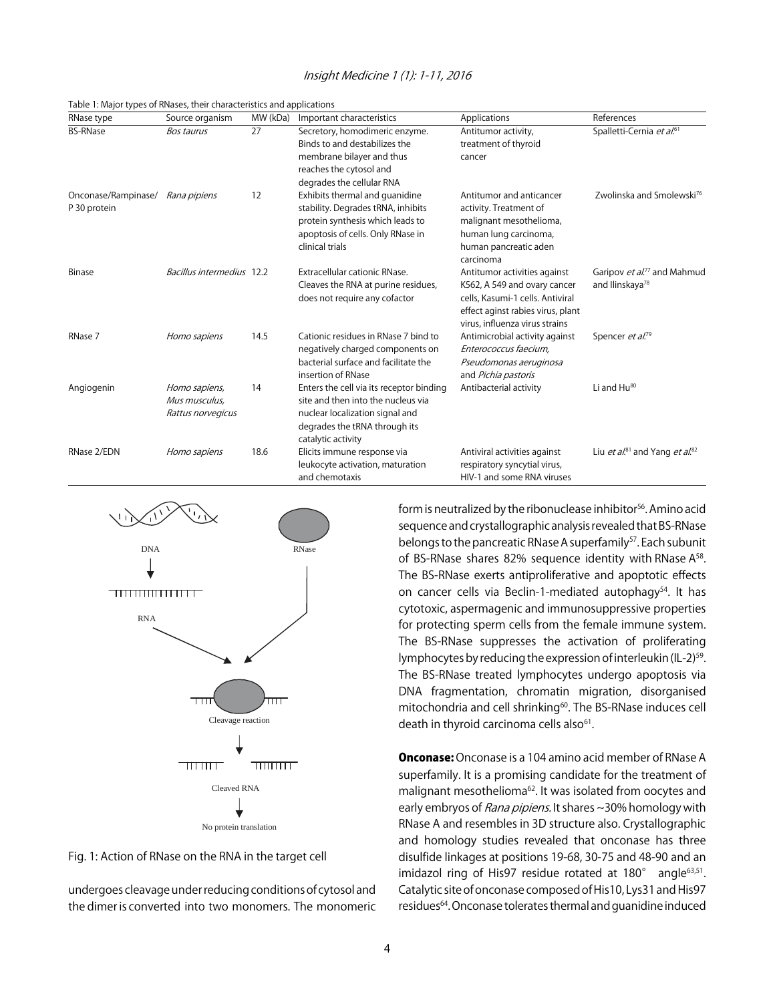#### Insight Medicine 1 (1): 1-11, 2016

Table 1: Major types of RNases, their characteristics and applications

| RNase type                          | Source organism                                     | MW (kDa) | Important characteristics                                                                                                                                                | Applications                                                                                                                                                            | References                                                             |
|-------------------------------------|-----------------------------------------------------|----------|--------------------------------------------------------------------------------------------------------------------------------------------------------------------------|-------------------------------------------------------------------------------------------------------------------------------------------------------------------------|------------------------------------------------------------------------|
| <b>BS-RNase</b>                     | <b>Bos taurus</b>                                   | 27       | Secretory, homodimeric enzyme.<br>Binds to and destabilizes the<br>membrane bilayer and thus<br>reaches the cytosol and<br>degrades the cellular RNA                     | Antitumor activity,<br>treatment of thyroid<br>cancer                                                                                                                   | Spalletti-Cernia et al. <sup>61</sup>                                  |
| Onconase/Rampinase/<br>P 30 protein | Rana pipiens                                        | 12       | Exhibits thermal and quanidine<br>stability. Degrades tRNA, inhibits<br>protein synthesis which leads to<br>apoptosis of cells. Only RNase in<br>clinical trials         | Antitumor and anticancer<br>activity. Treatment of<br>malignant mesothelioma,<br>human lung carcinoma,<br>human pancreatic aden<br>carcinoma                            | Zwolinska and Smolewski <sup>76</sup>                                  |
| <b>Binase</b>                       | Bacillus intermedius 12.2                           |          | Extracellular cationic RNase.<br>Cleaves the RNA at purine residues,<br>does not require any cofactor                                                                    | Antitumor activities against<br>K562, A 549 and ovary cancer<br>cells, Kasumi-1 cells. Antiviral<br>effect aginst rabies virus, plant<br>virus, influenza virus strains | Garipov et al. <sup>77</sup> and Mahmud<br>and Ilinskaya <sup>78</sup> |
| RNase 7                             | Homo sapiens                                        | 14.5     | Cationic residues in RNase 7 bind to<br>negatively charged components on<br>bacterial surface and facilitate the<br>insertion of RNase                                   | Antimicrobial activity against<br>Enterococcus faecium.<br>Pseudomonas aeruginosa<br>and Pichia pastoris                                                                | Spencer et al. <sup>79</sup>                                           |
| Angiogenin                          | Homo sapiens,<br>Mus musculus.<br>Rattus norvegicus | 14       | Enters the cell via its receptor binding<br>site and then into the nucleus via<br>nuclear localization signal and<br>degrades the tRNA through its<br>catalytic activity | Antibacterial activity                                                                                                                                                  | Li and $Hu^{80}$                                                       |
| RNase 2/EDN                         | Homo sapiens                                        | 18.6     | Elicits immune response via<br>leukocyte activation, maturation<br>and chemotaxis                                                                                        | Antiviral activities against<br>respiratory syncytial virus,<br>HIV-1 and some RNA viruses                                                                              | Liu et al. <sup>81</sup> and Yang et al. <sup>82</sup>                 |



Fig. 1: Action of RNase on the RNA in the target cell

undergoes cleavage under reducing conditions of cytosol and the dimer is converted into two monomers. The monomeric form is neutralized by the ribonuclease inhibitor<sup>56</sup>. Amino acid sequence and crystallographic analysis revealed that BS-RNase belongs to the pancreatic RNase A superfamily<sup>57</sup>. Each subunit of BS-RNase shares 82% sequence identity with RNase A<sup>58</sup>. The BS-RNase exerts antiproliferative and apoptotic effects on cancer cells via Beclin-1-mediated autophagy<sup>54</sup>. It has cytotoxic, aspermagenic and immunosuppressive properties for protecting sperm cells from the female immune system. The BS-RNase suppresses the activation of proliferating lymphocytes by reducing the expression of interleukin (IL-2)<sup>59</sup>. The BS-RNase treated lymphocytes undergo apoptosis via DNA fragmentation, chromatin migration, disorganised mitochondria and cell shrinking<sup>60</sup>. The BS-RNase induces cell death in thyroid carcinoma cells also<sup>61</sup>.

**Onconase:** Onconase is a 104 amino acid member of RNase A superfamily. It is a promising candidate for the treatment of malignant mesothelioma<sup>62</sup>. It was isolated from oocytes and early embryos of Rana pipiens. It shares ~30% homology with RNase A and resembles in 3D structure also. Crystallographic and homology studies revealed that onconase has three disulfide linkages at positions 19-68, 30-75 and 48-90 and an imidazol ring of His97 residue rotated at  $180^\circ$  angle<sup>63,51</sup>. Catalytic site of onconase composed of His10, Lys31 and His97 residues64. Onconase tolerates thermal and guanidine induced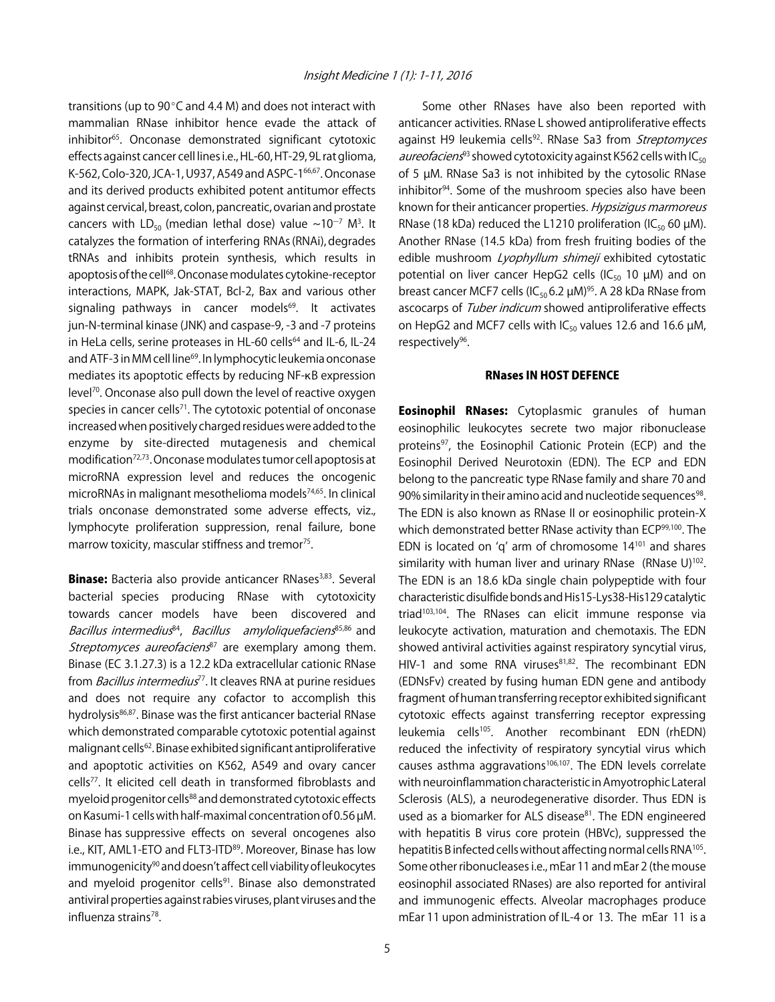transitions (up to  $90^{\circ}$ C and 4.4 M) and does not interact with mammalian RNase inhibitor hence evade the attack of inhibitor65. Onconase demonstrated significant cytotoxic effects against cancer cell lines i.e., HL-60, HT-29, 9L rat glioma, K-562, Colo-320, JCA-1, U937, A549 and ASPC-1<sup>66,67</sup>. Onconase and its derived products exhibited potent antitumor effects against cervical, breast, colon, pancreatic, ovarian and prostate cancers with  $LD_{50}$  (median lethal dose) value  $\sim 10^{-7}$  M<sup>3</sup>. It catalyzes the formation of interfering RNAs (RNAi), degrades tRNAs and inhibits protein synthesis, which results in apoptosis of the cell<sup>68</sup>. Onconase modulates cytokine-receptor interactions, MAPK, Jak-STAT, Bcl-2, Bax and various other signaling pathways in cancer models<sup>69</sup>. It activates jun-N-terminal kinase (JNK) and caspase-9, -3 and -7 proteins in HeLa cells, serine proteases in HL-60 cells<sup>64</sup> and IL-6, IL-24 and ATF-3 in MM cell line<sup>69</sup>. In lymphocytic leukemia onconase mediates its apoptotic effects by reducing NF-KB expression level<sup>70</sup>. Onconase also pull down the level of reactive oxygen species in cancer cells<sup>71</sup>. The cytotoxic potential of onconase increased when positively charged residues were added to the enzyme by site-directed mutagenesis and chemical modification72,73. Onconase modulates tumor cell apoptosis at microRNA expression level and reduces the oncogenic microRNAs in malignant mesothelioma models<sup>74,65</sup>. In clinical trials onconase demonstrated some adverse effects, viz., lymphocyte proliferation suppression, renal failure, bone marrow toxicity, mascular stiffness and tremor<sup>75</sup>.

Binase: Bacteria also provide anticancer RNases<sup>3,83</sup>. Several bacterial species producing RNase with cytotoxicity towards cancer models have been discovered and Bacillus intermedius<sup>84</sup>, Bacillus amyloliquefaciens<sup>85,86</sup> and Streptomyces aureofaciens<sup>87</sup> are exemplary among them. Binase (EC 3.1.27.3) is a 12.2 kDa extracellular cationic RNase from Bacillus intermedius<sup>77</sup>. It cleaves RNA at purine residues and does not require any cofactor to accomplish this hydrolysis<sup>86,87</sup>. Binase was the first anticancer bacterial RNase which demonstrated comparable cytotoxic potential against malignant cells62. Binase exhibited significant antiproliferative and apoptotic activities on K562, A549 and ovary cancer cells<sup>77</sup>. It elicited cell death in transformed fibroblasts and myeloid progenitor cells<sup>88</sup> and demonstrated cytotoxic effects on Kasumi-1 cells with half-maximal concentration of 0.56 µM. Binase has suppressive effects on several oncogenes also i.e., KIT, AML1-ETO and FLT3-ITD<sup>89</sup>. Moreover, Binase has low immunogenicity<sup>90</sup> and doesn't affect cell viability of leukocytes and myeloid progenitor cells<sup>91</sup>. Binase also demonstrated antiviral properties against rabies viruses, plant viruses and the influenza strains<sup>78</sup>.

Some other RNases have also been reported with anticancer activities. RNase L showed antiproliferative effects against H9 leukemia cells<sup>92</sup>. RNase Sa3 from Streptomyces aureofaciens<sup>93</sup> showed cytotoxicity against K562 cells with  $IC_{50}$ of 5 µM. RNase Sa3 is not inhibited by the cytosolic RNase inhibitor94. Some of the mushroom species also have been known for their anticancer properties. Hypsizigus marmoreus RNase (18 kDa) reduced the L1210 proliferation (IC $_{50}$  60  $\mu$ M). Another RNase (14.5 kDa) from fresh fruiting bodies of the edible mushroom Lyophyllum shimeji exhibited cytostatic potential on liver cancer HepG2 cells (IC<sub>50</sub> 10  $\mu$ M) and on breast cancer MCF7 cells (IC<sub>50</sub> 6.2  $\mu$ M)<sup>95</sup>. A 28 kDa RNase from ascocarps of Tuber indicum showed antiproliferative effects on HepG2 and MCF7 cells with  $IC_{50}$  values 12.6 and 16.6  $\mu$ M, respectively<sup>96</sup>.

#### RNases IN HOST DEFENCE

**Eosinophil RNases:** Cytoplasmic granules of human eosinophilic leukocytes secrete two major ribonuclease proteins<sup>97</sup>, the Eosinophil Cationic Protein (ECP) and the Eosinophil Derived Neurotoxin (EDN). The ECP and EDN belong to the pancreatic type RNase family and share 70 and 90% similarity in their amino acid and nucleotide sequences<sup>98</sup>. The EDN is also known as RNase II or eosinophilic protein-X which demonstrated better RNase activity than ECP<sup>99,100</sup>. The EDN is located on 'q' arm of chromosome  $14^{101}$  and shares similarity with human liver and urinary RNase  $(N)$ 102. The EDN is an 18.6 kDa single chain polypeptide with four characteristic disulfide bonds and His15-Lys38-His129 catalytic triad<sup>103,104</sup>. The RNases can elicit immune response via leukocyte activation, maturation and chemotaxis. The EDN showed antiviral activities against respiratory syncytial virus, HIV-1 and some RNA viruses $81,82$ . The recombinant EDN (EDNsFv) created by fusing human EDN gene and antibody fragment of human transferring receptor exhibited significant cytotoxic effects against transferring receptor expressing leukemia cells105. Another recombinant EDN (rhEDN) reduced the infectivity of respiratory syncytial virus which causes asthma aggravations<sup>106,107</sup>. The EDN levels correlate with neuroinflammation characteristic in Amyotrophic Lateral Sclerosis (ALS), a neurodegenerative disorder. Thus EDN is used as a biomarker for ALS disease<sup>81</sup>. The EDN engineered with hepatitis B virus core protein (HBVc), suppressed the hepatitis B infected cells without affecting normal cells RNA<sup>105</sup>. Some other ribonucleases i.e., mEar 11 and mEar 2 (the mouse eosinophil associated RNases) are also reported for antiviral and immunogenic effects. Alveolar macrophages produce mEar 11 upon administration of IL-4 or 13. The mEar 11 is a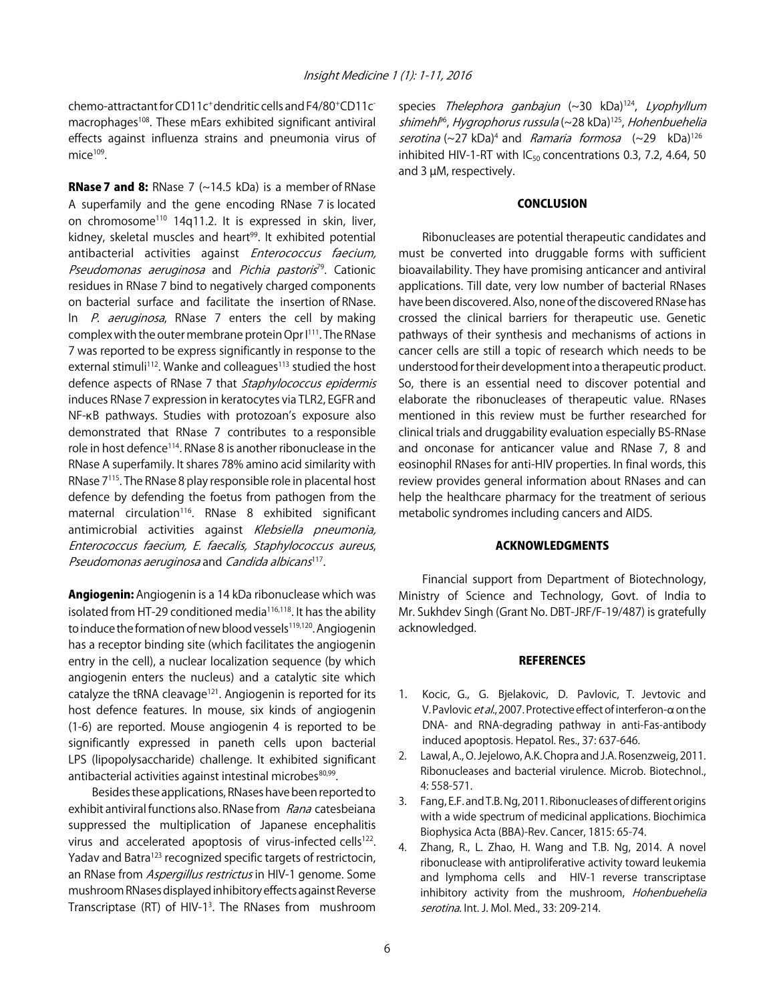chemo-attractant for CD11c+ dendritic cells and F4/80+CD11cmacrophages<sup>108</sup>. These mEars exhibited significant antiviral effects against influenza strains and pneumonia virus of  $mice<sup>109</sup>$ .

**RNase 7 and 8:** RNase 7 ( $\sim$ 14.5 kDa) is a member of RNase A superfamily and the gene encoding RNase 7 is located on chromosome<sup>110</sup> 14q11.2. It is expressed in skin, liver, kidney, skeletal muscles and heart<sup>99</sup>. It exhibited potential antibacterial activities against Enterococcus faecium, Pseudomonas aeruginosa and Pichia pastoris<sup>79</sup>. Cationic residues in RNase 7 bind to negatively charged components on bacterial surface and facilitate the insertion of RNase. In  $P$ . aeruginosa, RNase 7 enters the cell by making complex with the outer membrane protein Opr I<sup>111</sup>. The RNase 7 was reported to be express significantly in response to the external stimuli<sup>112</sup>. Wanke and colleagues<sup>113</sup> studied the host defence aspects of RNase 7 that Staphylococcus epidermis induces RNase 7 expression in keratocytes via TLR2, EGFR and NF-KB pathways. Studies with protozoan's exposure also demonstrated that RNase 7 contributes to a responsible role in host defence<sup>114</sup>. RNase 8 is another ribonuclease in the RNase A superfamily. It shares 78% amino acid similarity with RNase 7115. The RNase 8 play responsible role in placental host defence by defending the foetus from pathogen from the maternal circulation<sup>116</sup>. RNase 8 exhibited significant antimicrobial activities against Klebsiella pneumonia, Enterococcus faecium, E. faecalis, Staphylococcus aureus, Pseudomonas aeruginosa and Candida albicans<sup>117</sup>.

Angiogenin: Angiogenin is a 14 kDa ribonuclease which was isolated from HT-29 conditioned media<sup>116,118</sup>. It has the ability to induce the formation of new blood vessels<sup>119,120</sup>. Angiogenin has a receptor binding site (which facilitates the angiogenin entry in the cell), a nuclear localization sequence (by which angiogenin enters the nucleus) and a catalytic site which catalyze the tRNA cleavage<sup>121</sup>. Angiogenin is reported for its host defence features. In mouse, six kinds of angiogenin (1-6) are reported. Mouse angiogenin 4 is reported to be significantly expressed in paneth cells upon bacterial LPS (lipopolysaccharide) challenge. It exhibited significant antibacterial activities against intestinal microbes<sup>80,99</sup>.

Besides these applications, RNases have been reported to exhibit antiviral functions also. RNase from Rana catesbeiana suppressed the multiplication of Japanese encephalitis virus and accelerated apoptosis of virus-infected cells<sup>122</sup>. Yadav and Batra<sup>123</sup> recognized specific targets of restrictocin, an RNase from Aspergillus restrictus in HIV-1 genome. Some mushroom RNases displayed inhibitory effects against Reverse Transcriptase (RT) of HIV-1<sup>3</sup>. The RNases from mushroom species Thelephora ganbajun  $(\sim 30 \text{ kDa})^{124}$ , Lyophyllum shimeh<sup>p6</sup>, Hygrophorus russula (~28 kDa)<sup>125</sup>, Hohenbuehelia serotina  $(\sim 27 \text{ kDa})^4$  and *Ramaria formosa*  $(\sim 29 \text{ kDa})^{126}$ inhibited HIV-1-RT with  $IC_{50}$  concentrations 0.3, 7.2, 4.64, 50 and 3 µM, respectively.

#### **CONCLUSION**

Ribonucleases are potential therapeutic candidates and must be converted into druggable forms with sufficient bioavailability. They have promising anticancer and antiviral applications. Till date, very low number of bacterial RNases have been discovered. Also, none of the discovered RNase has crossed the clinical barriers for therapeutic use. Genetic pathways of their synthesis and mechanisms of actions in cancer cells are still a topic of research which needs to be understood for their development into a therapeutic product. So, there is an essential need to discover potential and elaborate the ribonucleases of therapeutic value. RNases mentioned in this review must be further researched for clinical trials and druggability evaluation especially BS-RNase and onconase for anticancer value and RNase 7, 8 and eosinophil RNases for anti-HIV properties. In final words, this review provides general information about RNases and can help the healthcare pharmacy for the treatment of serious metabolic syndromes including cancers and AIDS.

#### ACKNOWLEDGMENTS

Financial support from Department of Biotechnology, Ministry of Science and Technology, Govt. of India to Mr. Sukhdev Singh (Grant No. DBT-JRF/F-19/487) is gratefully acknowledged.

#### **REFERENCES**

- 1. Kocic, G., G. Bjelakovic, D. Pavlovic, T. Jevtovic and V. Pavlovic *et al.*, 2007. Protective effect of interferon- $\alpha$  on the DNA- and RNA-degrading pathway in anti-Fas-antibody induced apoptosis. Hepatol. Res., 37: 637-646.
- 2. Lawal, A., O. Jejelowo, A.K. Chopra and J.A. Rosenzweig, 2011. Ribonucleases and bacterial virulence. Microb. Biotechnol., 4: 558-571.
- 3. Fang, E.F. and T.B. Ng, 2011. Ribonucleases of different origins with a wide spectrum of medicinal applications. Biochimica Biophysica Acta (BBA)-Rev. Cancer, 1815: 65-74.
- 4. Zhang, R., L. Zhao, H. Wang and T.B. Ng, 2014. A novel ribonuclease with antiproliferative activity toward leukemia and lymphoma cells and HIV-1 reverse transcriptase inhibitory activity from the mushroom, Hohenbuehelia serotina. Int. J. Mol. Med., 33: 209-214.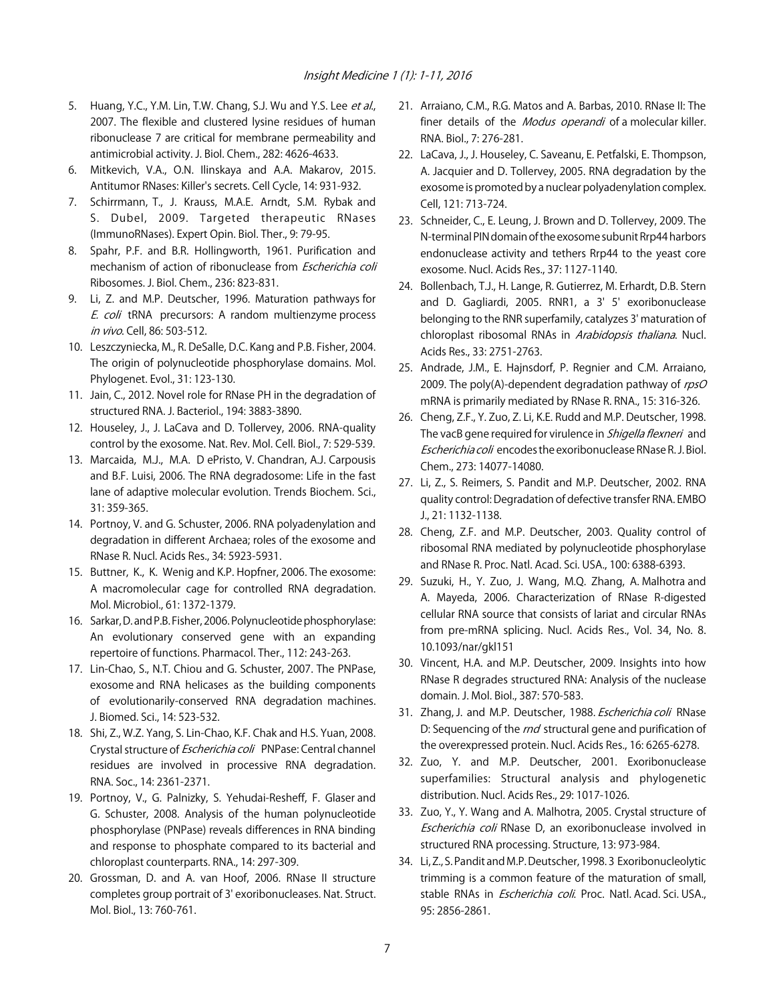- 5. Huang, Y.C., Y.M. Lin, T.W. Chang, S.J. Wu and Y.S. Lee et al., 2007. The flexible and clustered lysine residues of human ribonuclease 7 are critical for membrane permeability and antimicrobial activity. J. Biol. Chem., 282: 4626-4633.
- 6. Mitkevich, V.A., O.N. Ilinskaya and A.A. Makarov, 2015. Antitumor RNases: Killer's secrets. Cell Cycle, 14: 931-932.
- 7. Schirrmann, T., J. Krauss, M.A.E. Arndt, S.M. Rybak and S. Dubel, 2009. Targeted therapeutic RNases (ImmunoRNases). Expert Opin. Biol. Ther., 9: 79-95.
- 8. Spahr, P.F. and B.R. Hollingworth, 1961. Purification and mechanism of action of ribonuclease from *Escherichia coli* Ribosomes. J. Biol. Chem., 236: 823-831.
- 9. Li, Z. and M.P. Deutscher, 1996. Maturation pathways for E. coli tRNA precursors: A random multienzyme process in vivo. Cell, 86: 503-512.
- 10. Leszczyniecka, M., R. DeSalle, D.C. Kang and P.B. Fisher, 2004. The origin of polynucleotide phosphorylase domains. Mol. Phylogenet. Evol., 31: 123-130.
- 11. Jain, C., 2012. Novel role for RNase PH in the degradation of structured RNA. J. Bacteriol., 194: 3883-3890.
- 12. Houseley, J., J. LaCava and D. Tollervey, 2006. RNA-quality control by the exosome. Nat. Rev. Mol. Cell. Biol., 7: 529-539.
- 13. Marcaida, M.J., M.A. D ePristo, V. Chandran, A.J. Carpousis and B.F. Luisi, 2006. The RNA degradosome: Life in the fast lane of adaptive molecular evolution. Trends Biochem. Sci., 31: 359-365.
- 14. Portnoy, V. and G. Schuster, 2006. RNA polyadenylation and degradation in different Archaea; roles of the exosome and RNase R. Nucl. Acids Res., 34: 5923-5931.
- 15. Buttner, K., K. Wenig and K.P. Hopfner, 2006. The exosome: A macromolecular cage for controlled RNA degradation. Mol. Microbiol., 61: 1372-1379.
- 16. Sarkar, D. and P.B. Fisher, 2006. Polynucleotide phosphorylase: An evolutionary conserved gene with an expanding repertoire of functions. Pharmacol. Ther., 112: 243-263.
- 17. Lin-Chao, S., N.T. Chiou and G. Schuster, 2007. The PNPase, exosome and RNA helicases as the building components of evolutionarily-conserved RNA degradation machines. J. Biomed. Sci., 14: 523-532.
- 18. Shi, Z., W.Z. Yang, S. Lin-Chao, K.F. Chak and H.S. Yuan, 2008. Crystal structure of *Escherichia coli* PNPase: Central channel residues are involved in processive RNA degradation. RNA. Soc., 14: 2361-2371.
- 19. Portnoy, V., G. Palnizky, S. Yehudai-Resheff, F. Glaser and G. Schuster, 2008. Analysis of the human polynucleotide phosphorylase (PNPase) reveals differences in RNA binding and response to phosphate compared to its bacterial and chloroplast counterparts. RNA., 14: 297-309.
- 20. Grossman, D. and A. van Hoof, 2006. RNase II structure completes group portrait of 3' exoribonucleases. Nat. Struct. Mol. Biol., 13: 760-761.
- 21. Arraiano, C.M., R.G. Matos and A. Barbas, 2010. RNase II: The finer details of the Modus operandi of a molecular killer. RNA. Biol., 7: 276-281.
- 22. LaCava, J., J. Houseley, C. Saveanu, E. Petfalski, E. Thompson, A. Jacquier and D. Tollervey, 2005. RNA degradation by the exosome is promoted by a nuclear polyadenylation complex. Cell, 121: 713-724.
- 23. Schneider, C., E. Leung, J. Brown and D. Tollervey, 2009. The N-terminal PIN domain of the exosome subunit Rrp44 harbors endonuclease activity and tethers Rrp44 to the yeast core exosome. Nucl. Acids Res., 37: 1127-1140.
- 24. Bollenbach, T.J., H. Lange, R. Gutierrez, M. Erhardt, D.B. Stern and D. Gagliardi, 2005. RNR1, a 3' 5' exoribonuclease belonging to the RNR superfamily, catalyzes 3' maturation of chloroplast ribosomal RNAs in Arabidopsis thaliana. Nucl. Acids Res., 33: 2751-2763.
- 25. Andrade, J.M., E. Hajnsdorf, P. Regnier and C.M. Arraiano, 2009. The poly(A)-dependent degradation pathway of  $rpsO$ mRNA is primarily mediated by RNase R. RNA., 15: 316-326.
- 26. Cheng, Z.F., Y. Zuo, Z. Li, K.E. Rudd and M.P. Deutscher, 1998. The vacB gene required for virulence in Shigella flexneri and Escherichia coli encodes the exoribonuclease RNase R. J. Biol. Chem., 273: 14077-14080.
- 27. Li, Z., S. Reimers, S. Pandit and M.P. Deutscher, 2002. RNA quality control: Degradation of defective transfer RNA. EMBO J., 21: 1132-1138.
- 28. Cheng, Z.F. and M.P. Deutscher, 2003. Quality control of ribosomal RNA mediated by polynucleotide phosphorylase and RNase R. Proc. Natl. Acad. Sci. USA., 100: 6388-6393.
- 29. Suzuki, H., Y. Zuo, J. Wang, M.Q. Zhang, A. Malhotra and A. Mayeda, 2006. Characterization of RNase R-digested cellular RNA source that consists of lariat and circular RNAs from pre-mRNA splicing. Nucl. Acids Res., Vol. 34, No. 8. 10.1093/nar/gkl151
- 30. Vincent, H.A. and M.P. Deutscher, 2009. Insights into how RNase R degrades structured RNA: Analysis of the nuclease domain. J. Mol. Biol., 387: 570-583.
- 31. Zhang, J. and M.P. Deutscher, 1988. Escherichia coli RNase D: Sequencing of the rnd structural gene and purification of the overexpressed protein. Nucl. Acids Res., 16: 6265-6278.
- 32. Zuo, Y. and M.P. Deutscher, 2001. Exoribonuclease superfamilies: Structural analysis and phylogenetic distribution. Nucl. Acids Res., 29: 1017-1026.
- 33. Zuo, Y., Y. Wang and A. Malhotra, 2005. Crystal structure of Escherichia coli RNase D, an exoribonuclease involved in structured RNA processing. Structure, 13: 973-984.
- 34. Li, Z., S. Pandit and M.P. Deutscher, 1998. 3 Exoribonucleolytic trimming is a common feature of the maturation of small, stable RNAs in *Escherichia coli*. Proc. Natl. Acad. Sci. USA., 95: 2856-2861.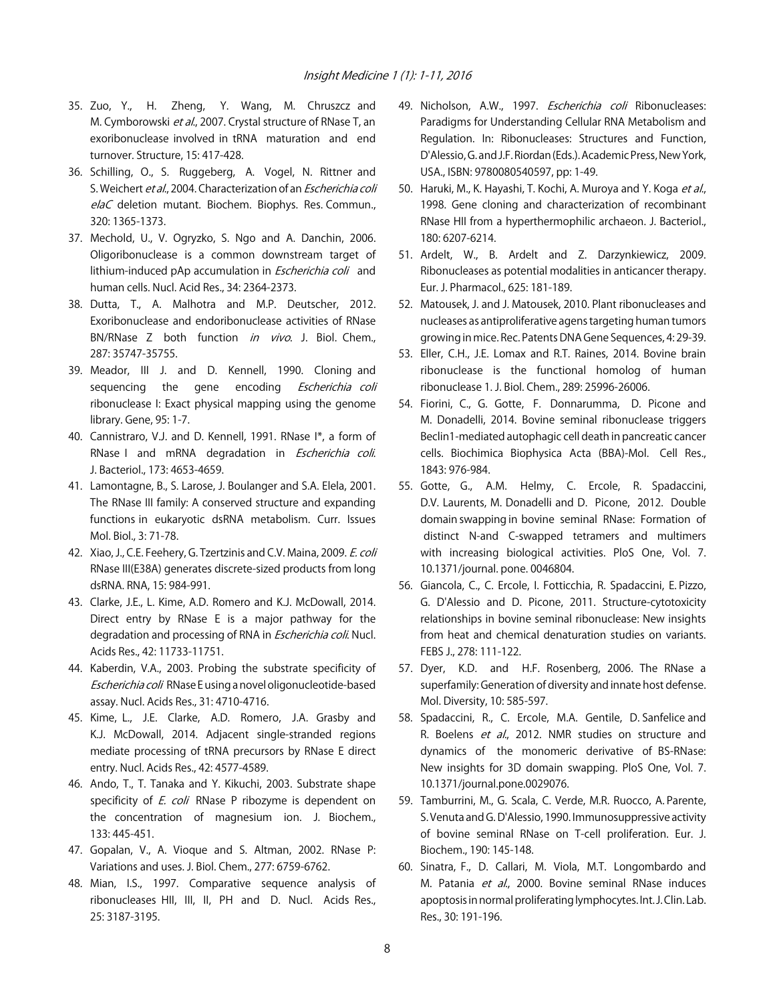- 35. Zuo, Y., H. Zheng, Y. Wang, M. Chruszcz and M. Cymborowski et al., 2007. Crystal structure of RNase T, an exoribonuclease involved in tRNA maturation and end turnover. Structure, 15: 417-428.
- 36. Schilling, O., S. Ruggeberg, A. Vogel, N. Rittner and S. Weichert et al., 2004. Characterization of an Escherichia coli elaC deletion mutant. Biochem. Biophys. Res. Commun., 320: 1365-1373.
- 37. Mechold, U., V. Ogryzko, S. Ngo and A. Danchin, 2006. Oligoribonuclease is a common downstream target of lithium-induced pAp accumulation in *Escherichia coli* and human cells. Nucl. Acid Res., 34: 2364-2373.
- 38. Dutta, T., A. Malhotra and M.P. Deutscher, 2012. Exoribonuclease and endoribonuclease activities of RNase BN/RNase Z both function *in vivo*. J. Biol. Chem., 287: 35747-35755.
- 39. Meador, III J. and D. Kennell, 1990. Cloning and sequencing the gene encoding *Escherichia coli* ribonuclease I: Exact physical mapping using the genome library. Gene, 95: 1-7.
- 40. Cannistraro, V.J. and D. Kennell, 1991. RNase I\*, a form of RNase I and mRNA degradation in Escherichia coli. J. Bacteriol., 173: 4653-4659.
- 41. Lamontagne, B., S. Larose, J. Boulanger and S.A. Elela, 2001. The RNase III family: A conserved structure and expanding functions in eukaryotic dsRNA metabolism. Curr. Issues Mol. Biol., 3: 71-78.
- 42. Xiao, J., C.E. Feehery, G. Tzertzinis and C.V. Maina, 2009. E. coli RNase III(E38A) generates discrete-sized products from long dsRNA. RNA, 15: 984-991.
- 43. Clarke, J.E., L. Kime, A.D. Romero and K.J. McDowall, 2014. Direct entry by RNase E is a major pathway for the degradation and processing of RNA in *Escherichia coli*. Nucl. Acids Res., 42: 11733-11751.
- 44. Kaberdin, V.A., 2003. Probing the substrate specificity of Escherichia coli RNase E using a novel oligonucleotide-based assay. Nucl. Acids Res., 31: 4710-4716.
- 45. Kime, L., J.E. Clarke, A.D. Romero, J.A. Grasby and K.J. McDowall, 2014. Adjacent single-stranded regions mediate processing of tRNA precursors by RNase E direct entry. Nucl. Acids Res., 42: 4577-4589.
- 46. Ando, T., T. Tanaka and Y. Kikuchi, 2003. Substrate shape specificity of E. coli RNase P ribozyme is dependent on the concentration of magnesium ion. J. Biochem., 133: 445-451.
- 47. Gopalan, V., A. Vioque and S. Altman, 2002. RNase P: Variations and uses. J. Biol. Chem., 277: 6759-6762.
- 48. Mian, I.S., 1997. Comparative sequence analysis of ribonucleases HII, III, II, PH and D. Nucl. Acids Res., 25: 3187-3195.
- 49. Nicholson, A.W., 1997. Escherichia coli Ribonucleases: Paradigms for Understanding Cellular RNA Metabolism and Regulation. In: Ribonucleases: Structures and Function, D'Alessio, G. and J.F. Riordan (Eds.). Academic Press, New York, USA., ISBN: 9780080540597, pp: 1-49.
- 50. Haruki, M., K. Hayashi, T. Kochi, A. Muroya and Y. Koga et al., 1998. Gene cloning and characterization of recombinant RNase HII from a hyperthermophilic archaeon. J. Bacteriol., 180: 6207-6214.
- 51. Ardelt, W., B. Ardelt and Z. Darzynkiewicz, 2009. Ribonucleases as potential modalities in anticancer therapy. Eur. J. Pharmacol., 625: 181-189.
- 52. Matousek, J. and J. Matousek, 2010. Plant ribonucleases and nucleases as antiproliferative agens targeting human tumors growing in mice. Rec. Patents DNA Gene Sequences, 4: 29-39.
- 53. Eller, C.H., J.E. Lomax and R.T. Raines, 2014. Bovine brain ribonuclease is the functional homolog of human ribonuclease 1. J. Biol. Chem., 289: 25996-26006.
- 54. Fiorini, C., G. Gotte, F. Donnarumma, D. Picone and M. Donadelli, 2014. Bovine seminal ribonuclease triggers Beclin1-mediated autophagic cell death in pancreatic cancer cells. Biochimica Biophysica Acta (BBA)-Mol. Cell Res., 1843: 976-984.
- 55. Gotte, G., A.M. Helmy, C. Ercole, R. Spadaccini, D.V. Laurents, M. Donadelli and D. Picone, 2012. Double domain swapping in bovine seminal RNase: Formation of distinct N-and C-swapped tetramers and multimers with increasing biological activities. PloS One, Vol. 7. 10.1371/journal. pone. 0046804.
- 56. Giancola, C., C. Ercole, I. Fotticchia, R. Spadaccini, E. Pizzo, G. D'Alessio and D. Picone, 2011. Structure-cytotoxicity relationships in bovine seminal ribonuclease: New insights from heat and chemical denaturation studies on variants. FEBS J., 278: 111-122.
- 57. Dyer, K.D. and H.F. Rosenberg, 2006. The RNase a superfamily: Generation of diversity and innate host defense. Mol. Diversity, 10: 585-597.
- 58. Spadaccini, R., C. Ercole, M.A. Gentile, D. Sanfelice and R. Boelens et al., 2012. NMR studies on structure and dynamics of the monomeric derivative of BS-RNase: New insights for 3D domain swapping. PloS One, Vol. 7. 10.1371/journal.pone.0029076.
- 59. Tamburrini, M., G. Scala, C. Verde, M.R. Ruocco, A. Parente, S. Venuta and G. D'Alessio, 1990. Immunosuppressive activity of bovine seminal RNase on T-cell proliferation. Eur. J. Biochem., 190: 145-148.
- 60. Sinatra, F., D. Callari, M. Viola, M.T. Longombardo and M. Patania et al., 2000. Bovine seminal RNase induces apoptosis in normal proliferating lymphocytes. Int. J. Clin. Lab. Res., 30: 191-196.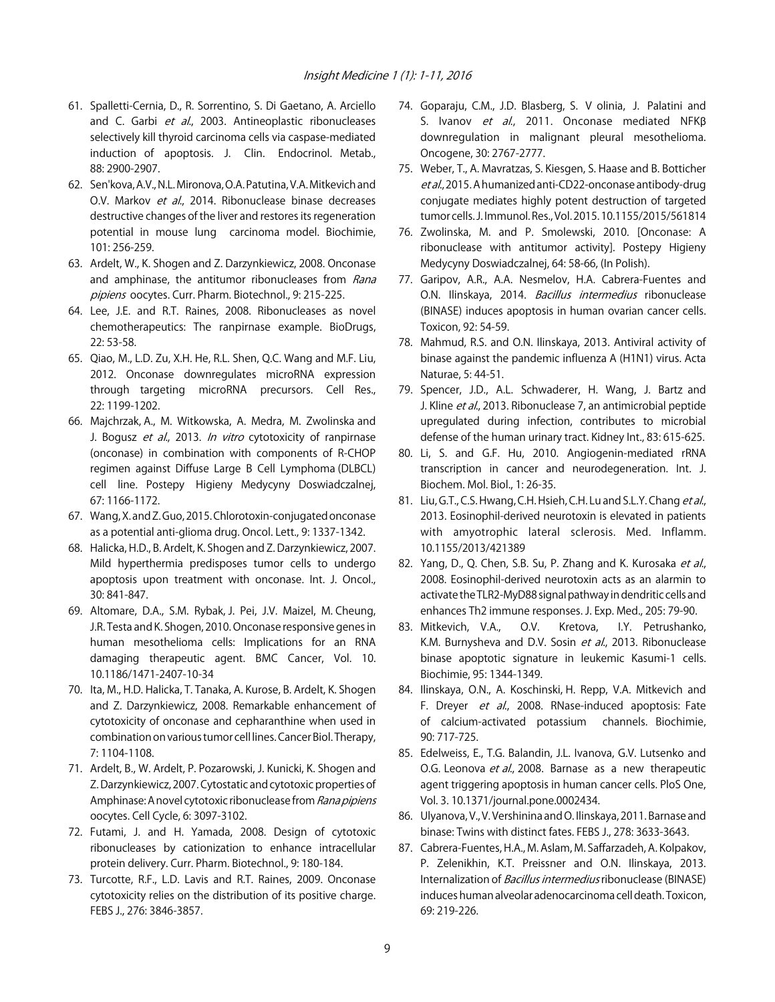- 61. Spalletti-Cernia, D., R. Sorrentino, S. Di Gaetano, A. Arciello and C. Garbi et al., 2003. Antineoplastic ribonucleases selectively kill thyroid carcinoma cells via caspase-mediated induction of apoptosis. J. Clin. Endocrinol. Metab., 88: 2900-2907.
- 62. Sen'kova, A.V., N.L. Mironova, O.A. Patutina, V.A. Mitkevich and O.V. Markov et al., 2014. Ribonuclease binase decreases destructive changes of the liver and restores its regeneration potential in mouse lung carcinoma model. Biochimie, 101: 256-259.
- 63. Ardelt, W., K. Shogen and Z. Darzynkiewicz, 2008. Onconase and amphinase, the antitumor ribonucleases from Rana pipiens oocytes. Curr. Pharm. Biotechnol., 9: 215-225.
- 64. Lee, J.E. and R.T. Raines, 2008. Ribonucleases as novel chemotherapeutics: The ranpirnase example. BioDrugs, 22: 53-58.
- 65. Qiao, M., L.D. Zu, X.H. He, R.L. Shen, Q.C. Wang and M.F. Liu, 2012. Onconase downregulates microRNA expression through targeting microRNA precursors. Cell Res., 22: 1199-1202.
- 66. Majchrzak, A., M. Witkowska, A. Medra, M. Zwolinska and J. Bogusz et al., 2013. In vitro cytotoxicity of ranpirnase (onconase) in combination with components of R-CHOP regimen against Diffuse Large B Cell Lymphoma (DLBCL) cell line. Postepy Higieny Medycyny Doswiadczalnej, 67: 1166-1172.
- 67. Wang, X. and Z. Guo, 2015. Chlorotoxin-conjugated onconase as a potential anti-glioma drug. Oncol. Lett., 9: 1337-1342.
- 68. Halicka, H.D., B. Ardelt, K. Shogen and Z. Darzynkiewicz, 2007. Mild hyperthermia predisposes tumor cells to undergo apoptosis upon treatment with onconase. Int. J. Oncol., 30: 841-847.
- 69. Altomare, D.A., S.M. Rybak, J. Pei, J.V. Maizel, M. Cheung, J.R. Testa and K. Shogen, 2010. Onconase responsive genes in human mesothelioma cells: Implications for an RNA damaging therapeutic agent. BMC Cancer, Vol. 10. 10.1186/1471-2407-10-34
- 70. Ita, M., H.D. Halicka, T. Tanaka, A. Kurose, B. Ardelt, K. Shogen and Z. Darzynkiewicz, 2008. Remarkable enhancement of cytotoxicity of onconase and cepharanthine when used in combination on various tumor cell lines. Cancer Biol. Therapy, 7: 1104-1108.
- 71. Ardelt, B., W. Ardelt, P. Pozarowski, J. Kunicki, K. Shogen and Z. Darzynkiewicz, 2007. Cytostatic and cytotoxic properties of Amphinase: A novel cytotoxic ribonuclease from Rana pipiens oocytes. Cell Cycle, 6: 3097-3102.
- 72. Futami, J. and H. Yamada, 2008. Design of cytotoxic ribonucleases by cationization to enhance intracellular protein delivery. Curr. Pharm. Biotechnol., 9: 180-184.
- 73. Turcotte, R.F., L.D. Lavis and R.T. Raines, 2009. Onconase cytotoxicity relies on the distribution of its positive charge. FEBS J., 276: 3846-3857.
- 74. Goparaju, C.M., J.D. Blasberg, S. V olinia, J. Palatini and S. Ivanov et al., 2011. Onconase mediated NFKB downregulation in malignant pleural mesothelioma. Oncogene, 30: 2767-2777.
- 75. Weber, T., A. Mavratzas, S. Kiesgen, S. Haase and B. Botticher et al., 2015. A humanized anti-CD22-onconase antibody-drug conjugate mediates highly potent destruction of targeted tumor cells. J. Immunol. Res., Vol. 2015. 10.1155/2015/561814
- 76. Zwolinska, M. and P. Smolewski, 2010. [Onconase: A ribonuclease with antitumor activity]. Postepy Higieny Medycyny Doswiadczalnej, 64: 58-66, (In Polish).
- 77. Garipov, A.R., A.A. Nesmelov, H.A. Cabrera-Fuentes and O.N. Ilinskaya, 2014. Bacillus intermedius ribonuclease (BINASE) induces apoptosis in human ovarian cancer cells. Toxicon, 92: 54-59.
- 78. Mahmud, R.S. and O.N. Ilinskaya, 2013. Antiviral activity of binase against the pandemic influenza A (H1N1) virus. Acta Naturae, 5: 44-51.
- 79. Spencer, J.D., A.L. Schwaderer, H. Wang, J. Bartz and J. Kline et al., 2013. Ribonuclease 7, an antimicrobial peptide upregulated during infection, contributes to microbial defense of the human urinary tract. Kidney Int., 83: 615-625.
- 80. Li, S. and G.F. Hu, 2010. Angiogenin-mediated rRNA transcription in cancer and neurodegeneration. Int. J. Biochem. Mol. Biol., 1: 26-35.
- 81. Liu, G.T., C.S. Hwang, C.H. Hsieh, C.H. Lu and S.L.Y. Chang et al., 2013. Eosinophil-derived neurotoxin is elevated in patients with amyotrophic lateral sclerosis. Med. Inflamm. 10.1155/2013/421389
- 82. Yang, D., Q. Chen, S.B. Su, P. Zhang and K. Kurosaka et al., 2008. Eosinophil-derived neurotoxin acts as an alarmin to activate the TLR2-MyD88 signal pathway in dendritic cells and enhances Th2 immune responses. J. Exp. Med., 205: 79-90.
- 83. Mitkevich, V.A., O.V. Kretova, I.Y. Petrushanko, K.M. Burnysheva and D.V. Sosin et al., 2013. Ribonuclease binase apoptotic signature in leukemic Kasumi-1 cells. Biochimie, 95: 1344-1349.
- 84. Ilinskaya, O.N., A. Koschinski, H. Repp, V.A. Mitkevich and F. Dreyer et al., 2008. RNase-induced apoptosis: Fate of calcium-activated potassium channels. Biochimie, 90: 717-725.
- 85. Edelweiss, E., T.G. Balandin, J.L. Ivanova, G.V. Lutsenko and O.G. Leonova et al., 2008. Barnase as a new therapeutic agent triggering apoptosis in human cancer cells. PloS One, Vol. 3. 10.1371/journal.pone.0002434.
- 86. Ulyanova, V., V. Vershinina and O. Ilinskaya, 2011. Barnase and binase: Twins with distinct fates. FEBS J., 278: 3633-3643.
- 87. Cabrera-Fuentes, H.A., M. Aslam, M. Saffarzadeh, A. Kolpakov, P. Zelenikhin, K.T. Preissner and O.N. Ilinskaya, 2013. Internalization of *Bacillus intermedius* ribonuclease (BINASE) induces human alveolar adenocarcinoma cell death. Toxicon, 69: 219-226.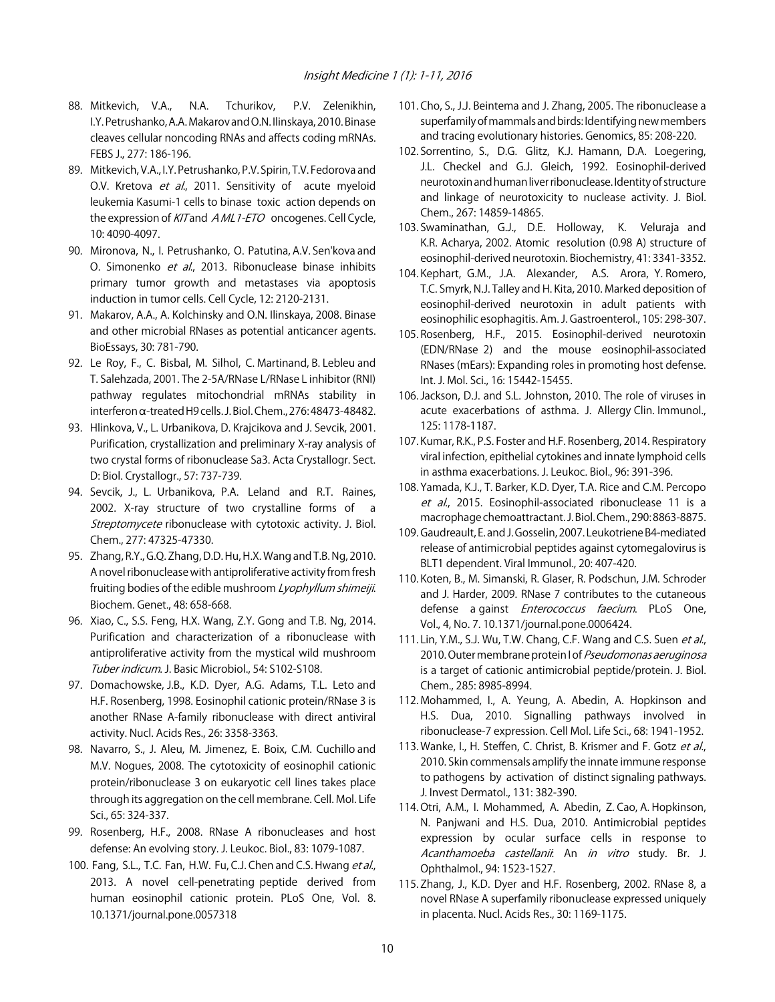- 88. Mitkevich, V.A., N.A. Tchurikov, P.V. Zelenikhin, I.Y. Petrushanko, A.A. Makarov and O.N. Ilinskaya, 2010. Binase cleaves cellular noncoding RNAs and affects coding mRNAs. FEBS J., 277: 186-196.
- 89. Mitkevich, V.A., I.Y. Petrushanko, P.V. Spirin, T.V. Fedorova and O.V. Kretova et al., 2011. Sensitivity of acute myeloid leukemia Kasumi-1 cells to binase toxic action depends on the expression of KIT and AML1-ETO oncogenes. Cell Cycle, 10: 4090-4097.
- 90. Mironova, N., I. Petrushanko, O. Patutina, A.V. Sen'kova and O. Simonenko et al., 2013. Ribonuclease binase inhibits primary tumor growth and metastases via apoptosis induction in tumor cells. Cell Cycle, 12: 2120-2131.
- 91. Makarov, A.A., A. Kolchinsky and O.N. Ilinskaya, 2008. Binase and other microbial RNases as potential anticancer agents. BioEssays, 30: 781-790.
- 92. Le Roy, F., C. Bisbal, M. Silhol, C. Martinand, B. Lebleu and T. Salehzada, 2001. The 2-5A/RNase L/RNase L inhibitor (RNI) pathway regulates mitochondrial mRNAs stability in interferon a-treated H9 cells. J. Biol. Chem., 276: 48473-48482.
- 93. Hlinkova, V., L. Urbanikova, D. Krajcikova and J. Sevcik, 2001. Purification, crystallization and preliminary X-ray analysis of two crystal forms of ribonuclease Sa3. Acta Crystallogr. Sect. D: Biol. Crystallogr., 57: 737-739.
- 94. Sevcik, J., L. Urbanikova, P.A. Leland and R.T. Raines, 2002. X-ray structure of two crystalline forms of a Streptomycete ribonuclease with cytotoxic activity. J. Biol. Chem., 277: 47325-47330.
- 95. Zhang, R.Y., G.Q. Zhang, D.D. Hu, H.X. Wang and T.B. Ng, 2010. A novel ribonuclease with antiproliferative activity from fresh fruiting bodies of the edible mushroom Lyophyllum shimeiji. Biochem. Genet., 48: 658-668.
- 96. Xiao, C., S.S. Feng, H.X. Wang, Z.Y. Gong and T.B. Ng, 2014. Purification and characterization of a ribonuclease with antiproliferative activity from the mystical wild mushroom Tuber indicum. J. Basic Microbiol., 54: S102-S108.
- 97. Domachowske, J.B., K.D. Dyer, A.G. Adams, T.L. Leto and H.F. Rosenberg, 1998. Eosinophil cationic protein/RNase 3 is another RNase A-family ribonuclease with direct antiviral activity. Nucl. Acids Res., 26: 3358-3363.
- 98. Navarro, S., J. Aleu, M. Jimenez, E. Boix, C.M. Cuchillo and M.V. Nogues, 2008. The cytotoxicity of eosinophil cationic protein/ribonuclease 3 on eukaryotic cell lines takes place through its aggregation on the cell membrane. Cell. Mol. Life Sci., 65: 324-337.
- 99. Rosenberg, H.F., 2008. RNase A ribonucleases and host defense: An evolving story. J. Leukoc. Biol., 83: 1079-1087.
- 100. Fang, S.L., T.C. Fan, H.W. Fu, C.J. Chen and C.S. Hwang et al., 2013. A novel cell-penetrating peptide derived from human eosinophil cationic protein. PLoS One, Vol. 8. 10.1371/journal.pone.0057318
- 101. Cho, S., J.J. Beintema and J. Zhang, 2005. The ribonuclease a superfamily of mammals and birds: Identifying new members and tracing evolutionary histories. Genomics, 85: 208-220.
- 102. Sorrentino, S., D.G. Glitz, K.J. Hamann, D.A. Loegering, J.L. Checkel and G.J. Gleich, 1992. Eosinophil-derived neurotoxin and human liver ribonuclease. Identity of structure and linkage of neurotoxicity to nuclease activity. J. Biol. Chem., 267: 14859-14865.
- 103. Swaminathan, G.J., D.E. Holloway, K. Veluraja and K.R. Acharya, 2002. Atomic resolution (0.98 A) structure of eosinophil-derived neurotoxin. Biochemistry, 41: 3341-3352.
- 104. Kephart, G.M., J.A. Alexander, A.S. Arora, Y. Romero, T.C. Smyrk, N.J. Talley and H. Kita, 2010. Marked deposition of eosinophil-derived neurotoxin in adult patients with eosinophilic esophagitis. Am. J. Gastroenterol., 105: 298-307.
- 105. Rosenberg, H.F., 2015. Eosinophil-derived neurotoxin (EDN/RNase 2) and the mouse eosinophil-associated RNases (mEars): Expanding roles in promoting host defense. Int. J. Mol. Sci., 16: 15442-15455.
- 106. Jackson, D.J. and S.L. Johnston, 2010. The role of viruses in acute exacerbations of asthma. J. Allergy Clin. Immunol., 125: 1178-1187.
- 107. Kumar, R.K., P.S. Foster and H.F. Rosenberg, 2014. Respiratory viral infection, epithelial cytokines and innate lymphoid cells in asthma exacerbations. J. Leukoc. Biol., 96: 391-396.
- 108. Yamada, K.J., T. Barker, K.D. Dyer, T.A. Rice and C.M. Percopo et al., 2015. Eosinophil-associated ribonuclease 11 is a macrophage chemoattractant. J. Biol. Chem., 290: 8863-8875.
- 109. Gaudreault, E. and J. Gosselin, 2007. Leukotriene B4-mediated release of antimicrobial peptides against cytomegalovirus is BLT1 dependent. Viral Immunol., 20: 407-420.
- 110. Koten, B., M. Simanski, R. Glaser, R. Podschun, J.M. Schroder and J. Harder, 2009. RNase 7 contributes to the cutaneous defense a gainst *Enterococcus faecium*. PLoS One, Vol., 4, No. 7. 10.1371/journal.pone.0006424.
- 111. Lin, Y.M., S.J. Wu, T.W. Chang, C.F. Wang and C.S. Suen et al., 2010. Outer membrane protein I of Pseudomonas aeruginosa is a target of cationic antimicrobial peptide/protein. J. Biol. Chem., 285: 8985-8994.
- 112. Mohammed, I., A. Yeung, A. Abedin, A. Hopkinson and H.S. Dua, 2010. Signalling pathways involved in ribonuclease-7 expression. Cell Mol. Life Sci., 68: 1941-1952.
- 113. Wanke, I., H. Steffen, C. Christ, B. Krismer and F. Gotz et al., 2010. Skin commensals amplify the innate immune response to pathogens by activation of distinct signaling pathways. J. Invest Dermatol., 131: 382-390.
- 114. Otri, A.M., I. Mohammed, A. Abedin, Z. Cao, A. Hopkinson, N. Panjwani and H.S. Dua, 2010. Antimicrobial peptides expression by ocular surface cells in response to Acanthamoeba castellanii. An in vitro study. Br. J. Ophthalmol., 94: 1523-1527.
- 115. Zhang, J., K.D. Dyer and H.F. Rosenberg, 2002. RNase 8, a novel RNase A superfamily ribonuclease expressed uniquely in placenta. Nucl. Acids Res., 30: 1169-1175.